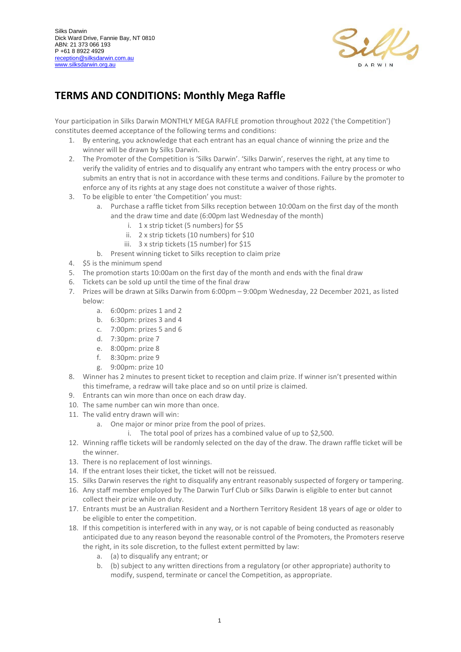

## **TERMS AND CONDITIONS: Monthly Mega Raffle**

Your participation in Silks Darwin MONTHLY MEGA RAFFLE promotion throughout 2022 ('the Competition') constitutes deemed acceptance of the following terms and conditions:

- 1. By entering, you acknowledge that each entrant has an equal chance of winning the prize and the winner will be drawn by Silks Darwin.
- 2. The Promoter of the Competition is 'Silks Darwin'. 'Silks Darwin', reserves the right, at any time to verify the validity of entries and to disqualify any entrant who tampers with the entry process or who submits an entry that is not in accordance with these terms and conditions. Failure by the promoter to enforce any of its rights at any stage does not constitute a waiver of those rights.
- 3. To be eligible to enter 'the Competition' you must:
	- a. Purchase a raffle ticket from Silks reception between 10:00am on the first day of the month and the draw time and date (6:00pm last Wednesday of the month)
		- i. 1 x strip ticket (5 numbers) for \$5
		- ii. 2 x strip tickets (10 numbers) for \$10
		- iii. 3 x strip tickets (15 number) for \$15
	- b. Present winning ticket to Silks reception to claim prize
- 4. \$5 is the minimum spend
- 5. The promotion starts 10:00am on the first day of the month and ends with the final draw
- 6. Tickets can be sold up until the time of the final draw
- 7. Prizes will be drawn at Silks Darwin from 6:00pm 9:00pm Wednesday, 22 December 2021, as listed below:
	- a. 6:00pm: prizes 1 and 2
	- b. 6:30pm: prizes 3 and 4
	- c. 7:00pm: prizes 5 and 6
	- d. 7:30pm: prize 7
	- e. 8:00pm: prize 8
	- f. 8:30pm: prize 9
	- g. 9:00pm: prize 10
- 8. Winner has 2 minutes to present ticket to reception and claim prize. If winner isn't presented within this timeframe, a redraw will take place and so on until prize is claimed.
- 9. Entrants can win more than once on each draw day.
- 10. The same number can win more than once.
- 11. The valid entry drawn will win:
	- a. One major or minor prize from the pool of prizes.
		- i. The total pool of prizes has a combined value of up to \$2,500.
- 12. Winning raffle tickets will be randomly selected on the day of the draw. The drawn raffle ticket will be the winner.
- 13. There is no replacement of lost winnings.
- 14. If the entrant loses their ticket, the ticket will not be reissued.
- 15. Silks Darwin reserves the right to disqualify any entrant reasonably suspected of forgery or tampering.
- 16. Any staff member employed by The Darwin Turf Club or Silks Darwin is eligible to enter but cannot collect their prize while on duty.
- 17. Entrants must be an Australian Resident and a Northern Territory Resident 18 years of age or older to be eligible to enter the competition.
- 18. If this competition is interfered with in any way, or is not capable of being conducted as reasonably anticipated due to any reason beyond the reasonable control of the Promoters, the Promoters reserve the right, in its sole discretion, to the fullest extent permitted by law:
	- a. (a) to disqualify any entrant; or
	- b. (b) subject to any written directions from a regulatory (or other appropriate) authority to modify, suspend, terminate or cancel the Competition, as appropriate.